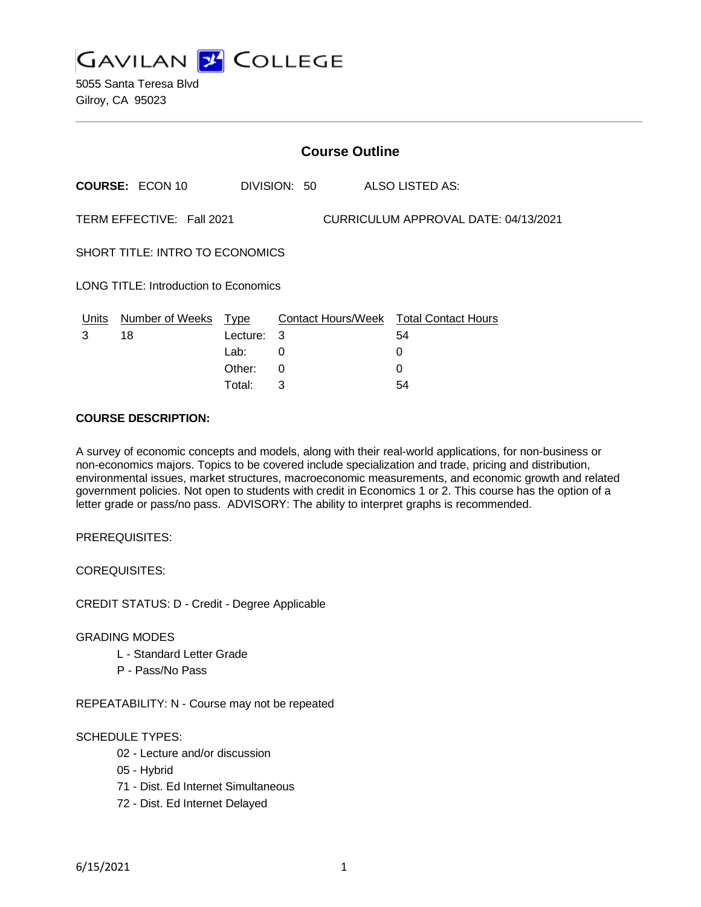

5055 Santa Teresa Blvd Gilroy, CA 95023

|                                                                   | <b>Course Outline</b>  |                         |              |  |                                              |  |  |
|-------------------------------------------------------------------|------------------------|-------------------------|--------------|--|----------------------------------------------|--|--|
|                                                                   | <b>COURSE: ECON 10</b> |                         | DIVISION: 50 |  | ALSO LISTED AS:                              |  |  |
| TERM EFFECTIVE: Fall 2021<br>CURRICULUM APPROVAL DATE: 04/13/2021 |                        |                         |              |  |                                              |  |  |
| <b>SHORT TITLE: INTRO TO ECONOMICS</b>                            |                        |                         |              |  |                                              |  |  |
| <b>LONG TITLE: Introduction to Economics</b>                      |                        |                         |              |  |                                              |  |  |
| Units<br>3                                                        | Number of Weeks<br>18  | <b>Type</b><br>Lecture: | 3            |  | Contact Hours/Week Total Contact Hours<br>54 |  |  |
|                                                                   |                        | Lab:                    | 0            |  | 0                                            |  |  |
|                                                                   |                        | Other:                  | 0            |  | 0                                            |  |  |

Total: 3 54

#### **COURSE DESCRIPTION:**

A survey of economic concepts and models, along with their real-world applications, for non-business or non-economics majors. Topics to be covered include specialization and trade, pricing and distribution, environmental issues, market structures, macroeconomic measurements, and economic growth and related government policies. Not open to students with credit in Economics 1 or 2. This course has the option of a letter grade or pass/no pass. ADVISORY: The ability to interpret graphs is recommended.

PREREQUISITES:

COREQUISITES:

CREDIT STATUS: D - Credit - Degree Applicable

#### GRADING MODES

- L Standard Letter Grade
- P Pass/No Pass

REPEATABILITY: N - Course may not be repeated

### SCHEDULE TYPES:

- 02 Lecture and/or discussion
- 05 Hybrid
- 71 Dist. Ed Internet Simultaneous
- 72 Dist. Ed Internet Delayed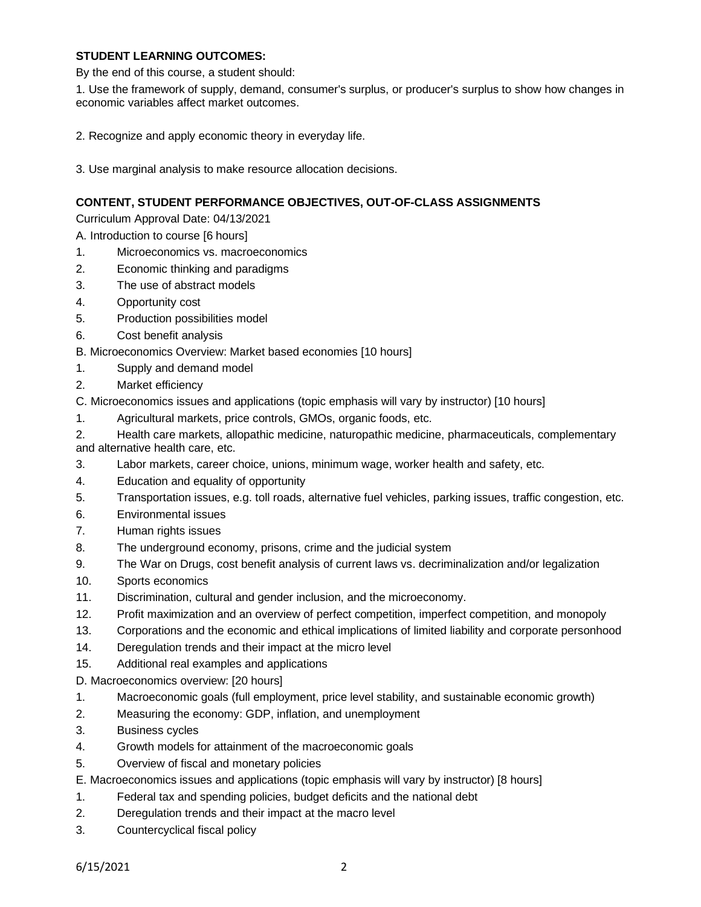## **STUDENT LEARNING OUTCOMES:**

By the end of this course, a student should:

1. Use the framework of supply, demand, consumer's surplus, or producer's surplus to show how changes in economic variables affect market outcomes.

- 2. Recognize and apply economic theory in everyday life.
- 3. Use marginal analysis to make resource allocation decisions.

# **CONTENT, STUDENT PERFORMANCE OBJECTIVES, OUT-OF-CLASS ASSIGNMENTS**

Curriculum Approval Date: 04/13/2021

A. Introduction to course [6 hours]

- 1. Microeconomics vs. macroeconomics
- 2. Economic thinking and paradigms
- 3. The use of abstract models
- 4. Opportunity cost
- 5. Production possibilities model
- 6. Cost benefit analysis
- B. Microeconomics Overview: Market based economies [10 hours]
- 1. Supply and demand model
- 2. Market efficiency
- C. Microeconomics issues and applications (topic emphasis will vary by instructor) [10 hours]
- 1. Agricultural markets, price controls, GMOs, organic foods, etc.
- 2. Health care markets, allopathic medicine, naturopathic medicine, pharmaceuticals, complementary and alternative health care, etc.
- 3. Labor markets, career choice, unions, minimum wage, worker health and safety, etc.
- 4. Education and equality of opportunity
- 5. Transportation issues, e.g. toll roads, alternative fuel vehicles, parking issues, traffic congestion, etc.
- 6. Environmental issues
- 7. Human rights issues
- 8. The underground economy, prisons, crime and the judicial system
- 9. The War on Drugs, cost benefit analysis of current laws vs. decriminalization and/or legalization
- 10. Sports economics
- 11. Discrimination, cultural and gender inclusion, and the microeconomy.
- 12. Profit maximization and an overview of perfect competition, imperfect competition, and monopoly
- 13. Corporations and the economic and ethical implications of limited liability and corporate personhood
- 14. Deregulation trends and their impact at the micro level
- 15. Additional real examples and applications
- D. Macroeconomics overview: [20 hours]
- 1. Macroeconomic goals (full employment, price level stability, and sustainable economic growth)
- 2. Measuring the economy: GDP, inflation, and unemployment
- 3. Business cycles
- 4. Growth models for attainment of the macroeconomic goals
- 5. Overview of fiscal and monetary policies
- E. Macroeconomics issues and applications (topic emphasis will vary by instructor) [8 hours]
- 1. Federal tax and spending policies, budget deficits and the national debt
- 2. Deregulation trends and their impact at the macro level
- 3. Countercyclical fiscal policy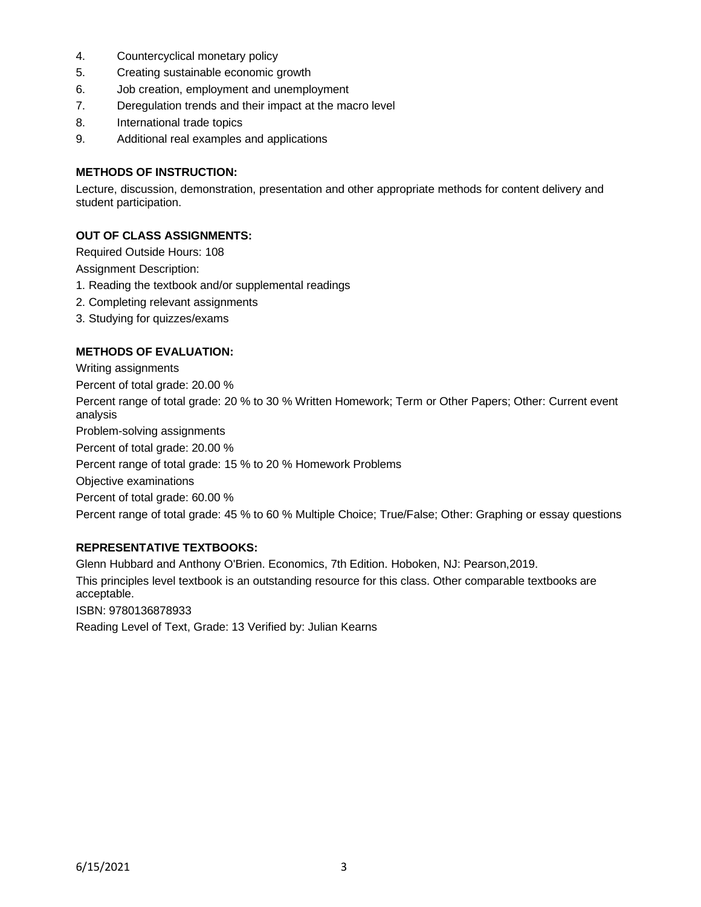- 4. Countercyclical monetary policy
- 5. Creating sustainable economic growth
- 6. Job creation, employment and unemployment
- 7. Deregulation trends and their impact at the macro level
- 8. International trade topics
- 9. Additional real examples and applications

## **METHODS OF INSTRUCTION:**

Lecture, discussion, demonstration, presentation and other appropriate methods for content delivery and student participation.

## **OUT OF CLASS ASSIGNMENTS:**

Required Outside Hours: 108

Assignment Description:

- 1. Reading the textbook and/or supplemental readings
- 2. Completing relevant assignments
- 3. Studying for quizzes/exams

### **METHODS OF EVALUATION:**

Writing assignments Percent of total grade: 20.00 % Percent range of total grade: 20 % to 30 % Written Homework; Term or Other Papers; Other: Current event analysis Problem-solving assignments Percent of total grade: 20.00 % Percent range of total grade: 15 % to 20 % Homework Problems Objective examinations Percent of total grade: 60.00 % Percent range of total grade: 45 % to 60 % Multiple Choice; True/False; Other: Graphing or essay questions

### **REPRESENTATIVE TEXTBOOKS:**

Glenn Hubbard and Anthony O'Brien. Economics, 7th Edition. Hoboken, NJ: Pearson,2019. This principles level textbook is an outstanding resource for this class. Other comparable textbooks are acceptable.

ISBN: 9780136878933

Reading Level of Text, Grade: 13 Verified by: Julian Kearns